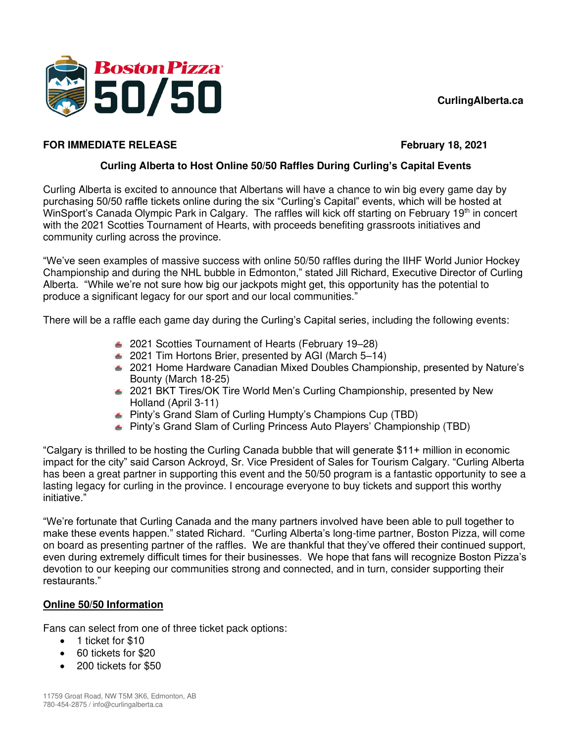## **CurlingAlberta.ca**



### **FOR IMMEDIATE RELEASE FEDEL ASSAULT ASSAULT ASSAULT ASSAULT ASSAULT AT A FEBRUARY 18, 2021**

## **Curling Alberta to Host Online 50/50 Raffles During Curling's Capital Events**

Curling Alberta is excited to announce that Albertans will have a chance to win big every game day by purchasing 50/50 raffle tickets online during the six "Curling's Capital" events, which will be hosted at WinSport's Canada Olympic Park in Calgary. The raffles will kick off starting on February 19<sup>th</sup> in concert with the 2021 Scotties Tournament of Hearts, with proceeds benefiting grassroots initiatives and community curling across the province.

"We've seen examples of massive success with online 50/50 raffles during the IIHF World Junior Hockey Championship and during the NHL bubble in Edmonton," stated Jill Richard, Executive Director of Curling Alberta. "While we're not sure how big our jackpots might get, this opportunity has the potential to produce a significant legacy for our sport and our local communities."

There will be a raffle each game day during the Curling's Capital series, including the following events:

- 2021 Scotties Tournament of Hearts (February 19–28)
- 2021 Tim Hortons Brier, presented by AGI (March 5–14)
- 2021 Home Hardware Canadian Mixed Doubles Championship, presented by Nature's Bounty (March 18-25)
- 2021 BKT Tires/OK Tire World Men's Curling Championship, presented by New Holland (April 3-11)
- Pinty's Grand Slam of Curling Humpty's Champions Cup (TBD)
- Pinty's Grand Slam of Curling Princess Auto Players' Championship (TBD)

"Calgary is thrilled to be hosting the Curling Canada bubble that will generate \$11+ million in economic impact for the city" said Carson Ackroyd, Sr. Vice President of Sales for Tourism Calgary. "Curling Alberta has been a great partner in supporting this event and the 50/50 program is a fantastic opportunity to see a lasting legacy for curling in the province. I encourage everyone to buy tickets and support this worthy initiative."

"We're fortunate that Curling Canada and the many partners involved have been able to pull together to make these events happen." stated Richard. "Curling Alberta's long-time partner, Boston Pizza, will come on board as presenting partner of the raffles. We are thankful that they've offered their continued support, even during extremely difficult times for their businesses. We hope that fans will recognize Boston Pizza's devotion to our keeping our communities strong and connected, and in turn, consider supporting their restaurants."

# **Online 50/50 Information**

Fans can select from one of three ticket pack options:

- 1 ticket for \$10
- 60 tickets for \$20
- 200 tickets for \$50